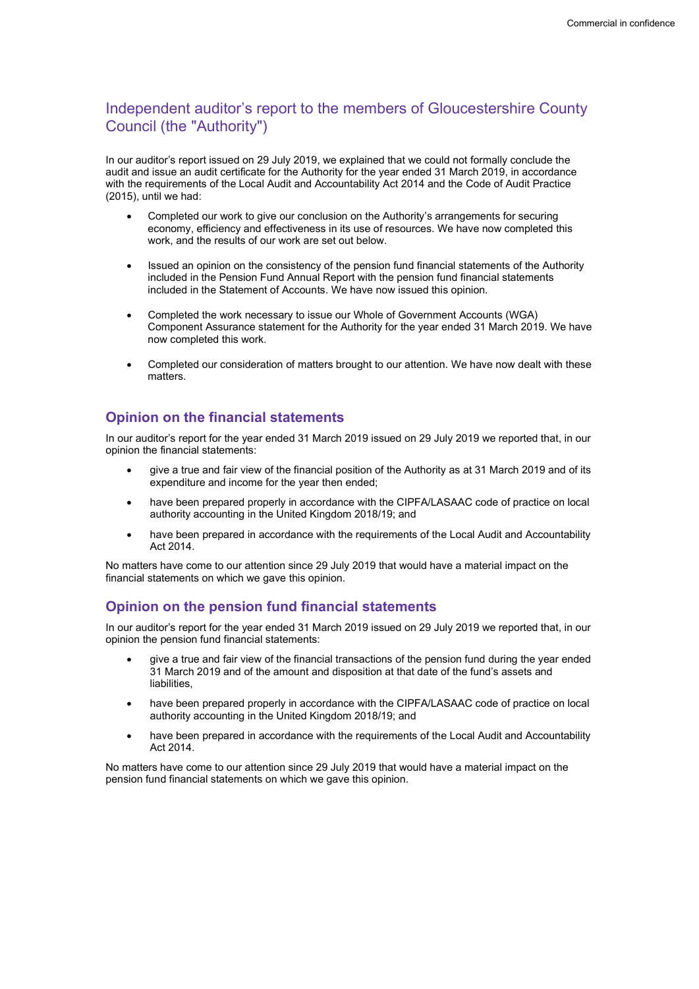# Independent auditor's report to the members of Gloucestershire County Council (the "Authority")

In our auditor's report issued on 29 July 2019, we explained that we could not formally conclude the audit and issue an audit certificate for the Authority for the year ended 31 March 2019, in accordance with the requirements of the Local Audit and Accountability Act 2014 and the Code of Audit Practice (2015), until we had:

- Completed our work to give our conclusion on the Authority's arrangements for securing economy, efficiency and effectiveness in its use of resources. We have now completed this work, and the results of our work are set out below.
- Issued an opinion on the consistency of the pension fund financial statements of the Authority included in the Pension Fund Annual Report with the pension fund financial statements included in the Statement of Accounts. We have now issued this opinion.
- Completed the work necessary to issue our Whole of Government Accounts (WGA) Component Assurance statement for the Authority for the year ended 31 March 2019. We have now completed this work.
- Completed our consideration of matters brought to our attention. We have now dealt with these matters.

## Opinion on the financial statements

In our auditor's report for the year ended 31 March 2019 issued on 29 July 2019 we reported that, in our opinion the financial statements:

- give a true and fair view of the financial position of the Authority as at 31 March 2019 and of its expenditure and income for the year then ended;
- have been prepared properly in accordance with the CIPFA/LASAAC code of practice on local authority accounting in the United Kingdom 2018/19; and
- have been prepared in accordance with the requirements of the Local Audit and Accountability Act 2014.

No matters have come to our attention since 29 July 2019 that would have a material impact on the financial statements on which we gave this opinion.

## Opinion on the pension fund financial statements

In our auditor's report for the year ended 31 March 2019 issued on 29 July 2019 we reported that, in our opinion the pension fund financial statements:

- give a true and fair view of the financial transactions of the pension fund during the year ended 31 March 2019 and of the amount and disposition at that date of the fund's assets and liabilities,
- have been prepared properly in accordance with the CIPFA/LASAAC code of practice on local authority accounting in the United Kingdom 2018/19; and
- have been prepared in accordance with the requirements of the Local Audit and Accountability Act 2014.

No matters have come to our attention since 29 July 2019 that would have a material impact on the pension fund financial statements on which we gave this opinion.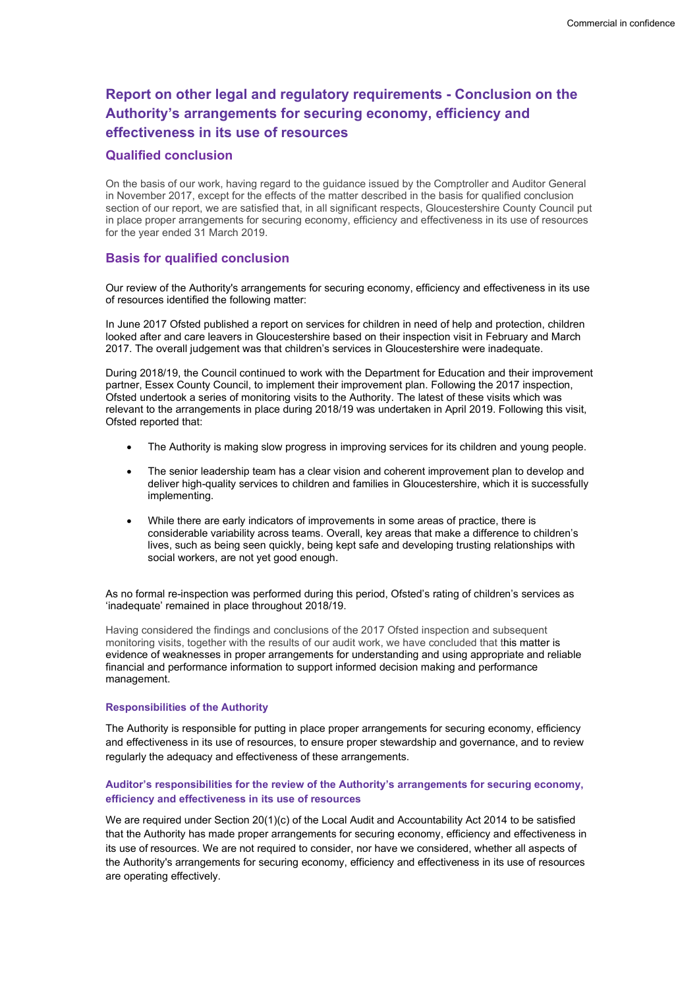# Report on other legal and regulatory requirements - Conclusion on the Authority's arrangements for securing economy, efficiency and effectiveness in its use of resources

### Qualified conclusion

On the basis of our work, having regard to the guidance issued by the Comptroller and Auditor General in November 2017, except for the effects of the matter described in the basis for qualified conclusion section of our report, we are satisfied that, in all significant respects, Gloucestershire County Council put in place proper arrangements for securing economy, efficiency and effectiveness in its use of resources for the year ended 31 March 2019.

### Basis for qualified conclusion

Our review of the Authority's arrangements for securing economy, efficiency and effectiveness in its use of resources identified the following matter:

In June 2017 Ofsted published a report on services for children in need of help and protection, children looked after and care leavers in Gloucestershire based on their inspection visit in February and March 2017. The overall judgement was that children's services in Gloucestershire were inadequate.

During 2018/19, the Council continued to work with the Department for Education and their improvement partner, Essex County Council, to implement their improvement plan. Following the 2017 inspection, Ofsted undertook a series of monitoring visits to the Authority. The latest of these visits which was relevant to the arrangements in place during 2018/19 was undertaken in April 2019. Following this visit, Ofsted reported that:

- The Authority is making slow progress in improving services for its children and young people.
- The senior leadership team has a clear vision and coherent improvement plan to develop and deliver high-quality services to children and families in Gloucestershire, which it is successfully implementing.
- While there are early indicators of improvements in some areas of practice, there is considerable variability across teams. Overall, key areas that make a difference to children's lives, such as being seen quickly, being kept safe and developing trusting relationships with social workers, are not yet good enough.

As no formal re-inspection was performed during this period, Ofsted's rating of children's services as 'inadequate' remained in place throughout 2018/19.

Having considered the findings and conclusions of the 2017 Ofsted inspection and subsequent monitoring visits, together with the results of our audit work, we have concluded that this matter is evidence of weaknesses in proper arrangements for understanding and using appropriate and reliable financial and performance information to support informed decision making and performance management.

#### Responsibilities of the Authority

The Authority is responsible for putting in place proper arrangements for securing economy, efficiency and effectiveness in its use of resources, to ensure proper stewardship and governance, and to review regularly the adequacy and effectiveness of these arrangements.

#### Auditor's responsibilities for the review of the Authority's arrangements for securing economy, efficiency and effectiveness in its use of resources

We are required under Section 20(1)(c) of the Local Audit and Accountability Act 2014 to be satisfied that the Authority has made proper arrangements for securing economy, efficiency and effectiveness in its use of resources. We are not required to consider, nor have we considered, whether all aspects of the Authority's arrangements for securing economy, efficiency and effectiveness in its use of resources are operating effectively.